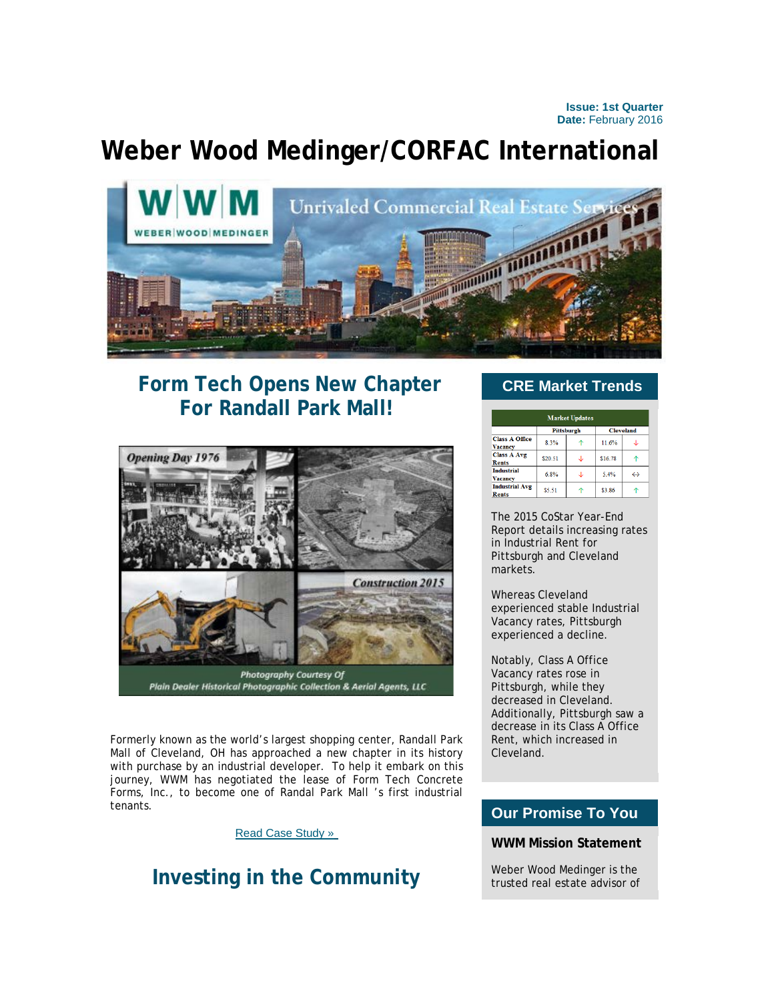**Issue: 1st Quarter Date:** February 2016

# **Weber Wood Medinger/CORFAC International**



# **Form Tech Opens New Chapter For Randall Park Mall!**



Formerly known as the world's largest shopping center, Randall Park Mall of Cleveland, OH has approached a new chapter in its history with purchase by an industrial developer. To help it embark on this journey, WWM has negotiated the lease of Form Tech Concrete Forms, Inc., to become one of Randal Park Mall 's first industrial tenants.

#### [Read Case Study »](http://click.icptrack.com/icp/relay.php?r=&msgid=0&act=11111&c=1590285&destination=http%3A%2F%2Fwww.wwmrealestate.com%2Fmain%2Fcase-studies-details%2F19)

## **Investing in the Community**

### **CRE Market Trends**

| <b>Market Updates</b>                   |                   |  |                  |                   |
|-----------------------------------------|-------------------|--|------------------|-------------------|
|                                         | <b>Pittsburgh</b> |  | <b>Cleveland</b> |                   |
| <b>Class A Office</b><br><b>Vacancy</b> | 8.3%              |  | 11.6%            |                   |
| <b>Class A Avg</b><br><b>Rents</b>      | \$20.51           |  | \$16.78          |                   |
| <b>Industrial</b><br><b>Vacancy</b>     | 6.8%              |  | 5.4%             | $\leftrightarrow$ |
| <b>Industrial Avg</b><br><b>Rents</b>   | \$5.51            |  | \$3.86           |                   |

The 2015 CoStar Year-End Report details increasing rates in Industrial Rent for Pittsburgh and Cleveland markets.

Whereas Cleveland experienced stable Industrial Vacancy rates, Pittsburgh experienced a decline.

Notably, Class A Office Vacancy rates rose in Pittsburgh, while they decreased in Cleveland. Additionally, Pittsburgh saw a decrease in its Class A Office Rent, which increased in Cleveland.

### Our Property Listings **Our Promise To You**

#### **WWM Mission Statement**

Weber Wood Medinger is the trusted real estate advisor of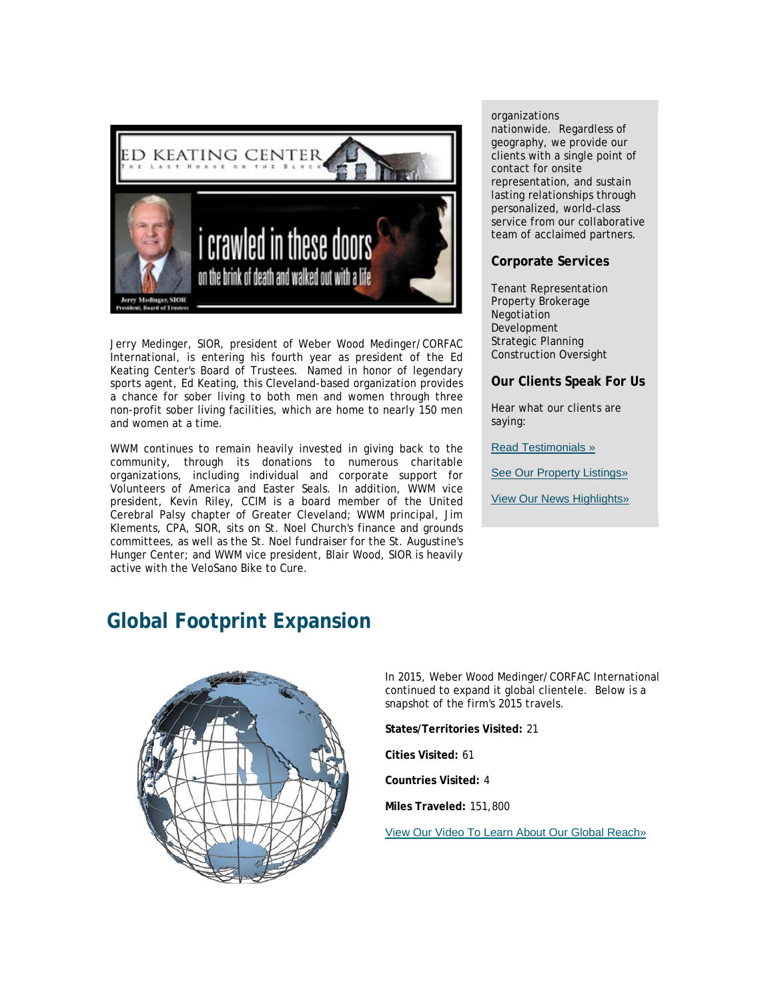

Jerry Medinger, SIOR, president of Weber Wood Medinger/CORFAC International, is entering his fourth year as president of the Ed Keating Center's Board of Trustees. Named in honor of legendary sports agent, Ed Keating, this Cleveland-based organization provides a chance for sober living to both men and women through three non-profit sober living facilities, which are home to nearly 150 men and women at a time.

WWM continues to remain heavily invested in giving back to the community, through its donations to numerous charitable organizations, including individual and corporate support for Volunteers of America and Easter Seals. In addition, WWM vice president, Kevin Riley, CCIM is a board member of the United Cerebral Palsy chapter of Greater Cleveland; WWM principal, Jim Klements, CPA, SIOR, sits on St. Noel Church's finance and grounds committees, as well as the St. Noel fundraiser for the St. Augustine's Hunger Center; and WWM vice president, Blair Wood, SIOR is heavily active with the VeloSano Bike to Cure.

#### organizations

nationwide. Regardless of geography, we provide our clients with a single point of contact for onsite representation, and sustain lasting relationships through personalized, world-class service from our collaborative team of acclaimed partners.

#### **Corporate Services**

Tenant Representation Property Brokerage Negotiation Development Strategic Planning Construction Oversight

#### **Our Clients Speak For Us**

Hear what our clients are saying:

[Read Testimonials »](http://click.icptrack.com/icp/relay.php?r=&msgid=0&act=11111&c=1590285&destination=http%3A%2F%2Fwwmrealestate.com%2Fmain%2Ftestimonials)

[See Our Property Listings»](http://click.icptrack.com/icp/relay.php?r=&msgid=0&act=11111&c=1590285&destination=http%3A%2F%2Fwwmrealestate.com%2Fmain%2Flisting)

[View Our News Highlights»](http://click.icptrack.com/icp/relay.php?r=&msgid=0&act=11111&c=1590285&destination=http%3A%2F%2Fwww.wwmrealestate.com%2Fmain%2Fnews)

# **Global Footprint Expansion**



In 2015, Weber Wood Medinger/CORFAC International continued to expand it global clientele. Below is a snapshot of the firm's 2015 travels.

**States/Territories Visited:** 21

**Cities Visited:** 61

**Countries Visited:** 4

**Miles Traveled:** 151,800

[View Our Video To Learn About Our Global Reach»](http://click.icptrack.com/icp/relay.php?r=&msgid=0&act=11111&c=1590285&destination=https%3A%2F%2Fwww.youtube.com%2Fwatch%3Fv%3Dq7V3NNqcu6Y)